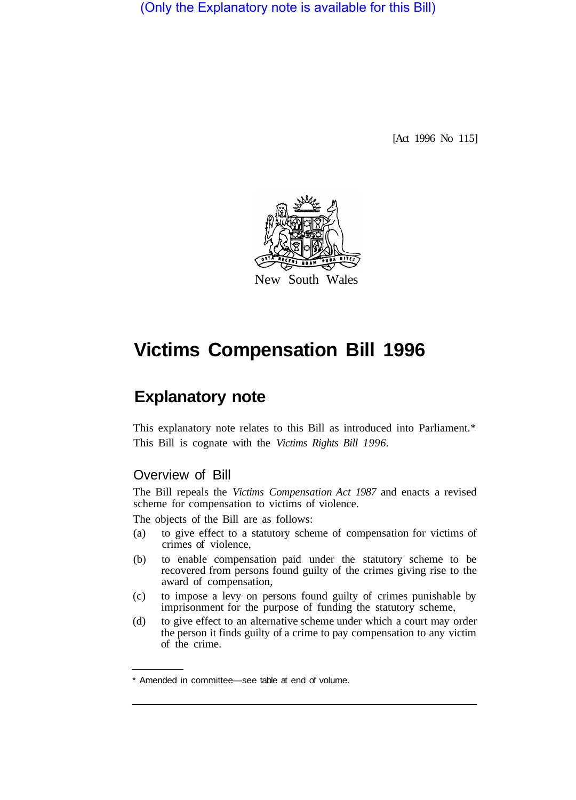(Only the Explanatory note is available for this Bill)

[Act 1996 No 115]



# **Victims Compensation Bill 1996**

## **Explanatory note**

This explanatory note relates to this Bill as introduced into Parliament.\* This Bill is cognate with the *Victims Rights Bill 1996.* 

## Overview of Bill

The Bill repeals the *Victims Compensation Act 1987* and enacts a revised scheme for compensation to victims of violence.

The objects of the Bill are as follows:

- (a) to give effect to a statutory scheme of compensation for victims of crimes of violence,
- (b) to enable compensation paid under the statutory scheme to be recovered from persons found guilty of the crimes giving rise to the award of compensation,
- (c) to impose a levy on persons found guilty of crimes punishable by imprisonment for the purpose of funding the statutory scheme,
- (d) to give effect to an alternative scheme under which a court may order the person it finds guilty of a crime to pay compensation to any victim of the crime.

<sup>\*</sup> Amended in committee—see table at end of volume.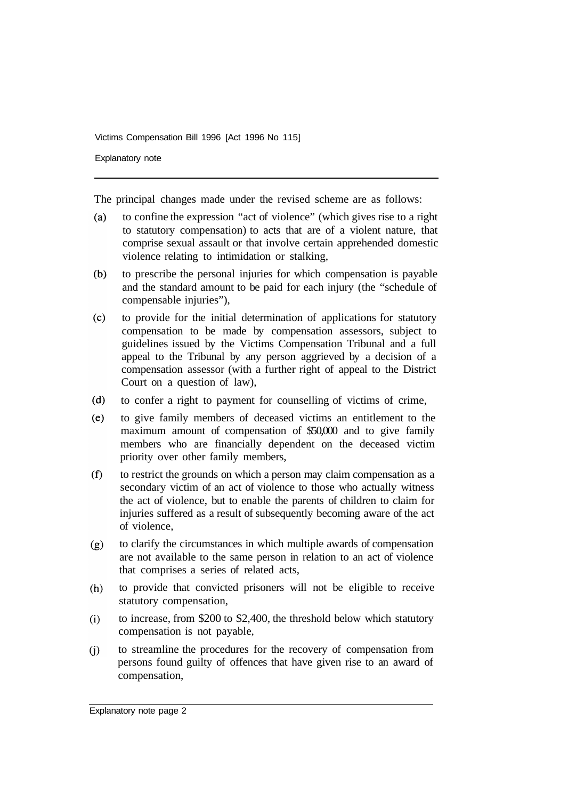Explanatory note

The principal changes made under the revised scheme are as follows:

- $(a)$ to confine the expression "act of violence" (which gives rise to a right to statutory compensation) to acts that are of a violent nature, that comprise sexual assault or that involve certain apprehended domestic violence relating to intimidation or stalking,
- $(b)$ to prescribe the personal injuries for which compensation is payable and the standard amount to be paid for each injury (the "schedule of compensable injuries"),
- $(c)$ to provide for the initial determination of applications for statutory compensation to be made by compensation assessors, subject to guidelines issued by the Victims Compensation Tribunal and a full appeal to the Tribunal by any person aggrieved by a decision of a compensation assessor (with a further right of appeal to the District Court on a question of law),
- $(d)$ to confer a right to payment for counselling of victims of crime,
- $(e)$ to give family members of deceased victims an entitlement to the maximum amount of compensation of \$50,000 and to give family members who are financially dependent on the deceased victim priority over other family members,
- $(f)$ to restrict the grounds on which a person may claim compensation as a secondary victim of an act of violence to those who actually witness the act of violence, but to enable the parents of children to claim for injuries suffered as a result of subsequently becoming aware of the act of violence,
- to clarify the circumstances in which multiple awards of compensation  $(g)$ are not available to the same person in relation to an act of violence that comprises a series of related acts,
- to provide that convicted prisoners will not be eligible to receive  $(h)$ statutory compensation,
- to increase, from \$200 to \$2,400, the threshold below which statutory  $(i)$ compensation is not payable,
- to streamline the procedures for the recovery of compensation from  $(i)$ persons found guilty of offences that have given rise to an award of compensation,

Explanatory note page 2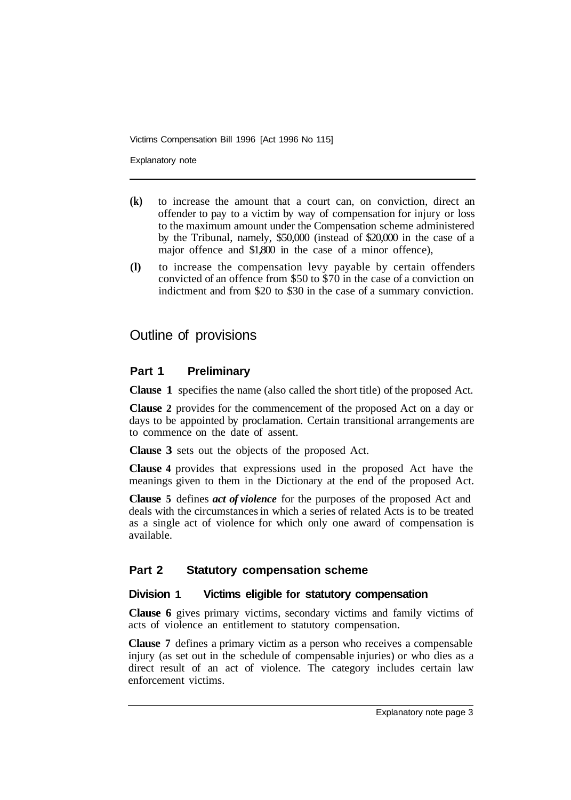Explanatory note

- **(k)** to increase the amount that a court can, on conviction, direct an offender to pay to a victim by way of compensation for injury or loss to the maximum amount under the Compensation scheme administered by the Tribunal, namely, \$50,000 (instead of \$20,000 in the case of a major offence and \$1,800 in the case of a minor offence),
- **(l)** to increase the compensation levy payable by certain offenders convicted of an offence from \$50 to \$70 in the case of a conviction on indictment and from \$20 to \$30 in the case of a summary conviction.

## Outline of provisions

#### **Part 1 Preliminary**

**Clause 1** specifies the name (also called the short title) of the proposed Act.

**Clause 2** provides for the commencement of the proposed Act on a day or days to be appointed by proclamation. Certain transitional arrangements are to commence on the date of assent.

**Clause 3** sets out the objects of the proposed Act.

**Clause 4** provides that expressions used in the proposed Act have the meanings given to them in the Dictionary at the end of the proposed Act.

**Clause 5** defines *act of violence* for the purposes of the proposed Act and deals with the circumstances in which a series of related Acts is to be treated as a single act of violence for which only one award of compensation is available.

#### **Part 2 Statutory compensation scheme**

#### **Division 1 Victims eligible for statutory compensation**

**Clause 6** gives primary victims, secondary victims and family victims of acts of violence an entitlement to statutory compensation.

**Clause 7** defines a primary victim as a person who receives a compensable injury (as set out in the schedule of compensable injuries) or who dies as a direct result of an act of violence. The category includes certain law enforcement victims.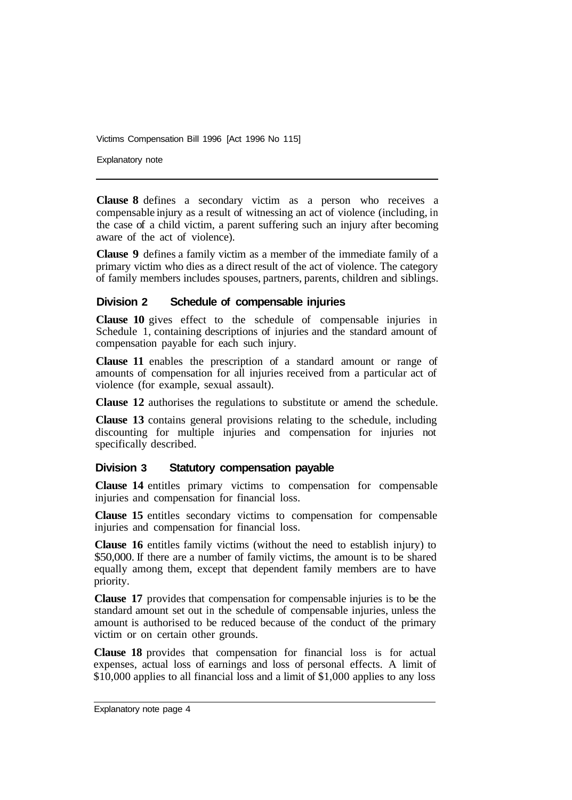Explanatory note

**Clause 8** defines a secondary victim as a person who receives a compensable injury as a result of witnessing an act of violence (including, in the case of a child victim, a parent suffering such an injury after becoming aware of the act of violence).

**Clause 9** defines a family victim as a member of the immediate family of a primary victim who dies as a direct result of the act of violence. The category of family members includes spouses, partners, parents, children and siblings.

#### **Division 2 Schedule of compensable injuries**

**Clause 10** gives effect to the schedule of compensable injuries in Schedule 1, containing descriptions of injuries and the standard amount of compensation payable for each such injury.

**Clause 11** enables the prescription of a standard amount or range of amounts of compensation for all injuries received from a particular act of violence (for example, sexual assault).

**Clause 12** authorises the regulations to substitute or amend the schedule.

**Clause 13** contains general provisions relating to the schedule, including discounting for multiple injuries and compensation for injuries not specifically described.

#### **Division 3 Statutory compensation payable**

**Clause 14** entitles primary victims to compensation for compensable injuries and compensation for financial loss.

**Clause 15** entitles secondary victims to compensation for compensable injuries and compensation for financial loss.

**Clause 16** entitles family victims (without the need to establish injury) to \$50,000. If there are a number of family victims, the amount is to be shared equally among them, except that dependent family members are to have priority.

**Clause 17** provides that compensation for compensable injuries is to be the standard amount set out in the schedule of compensable injuries, unless the amount is authorised to be reduced because of the conduct of the primary victim or on certain other grounds.

**Clause 18** provides that compensation for financial loss is for actual expenses, actual loss of earnings and loss of personal effects. A limit of \$10,000 applies to all financial loss and a limit of \$1,000 applies to any loss

Explanatory note page 4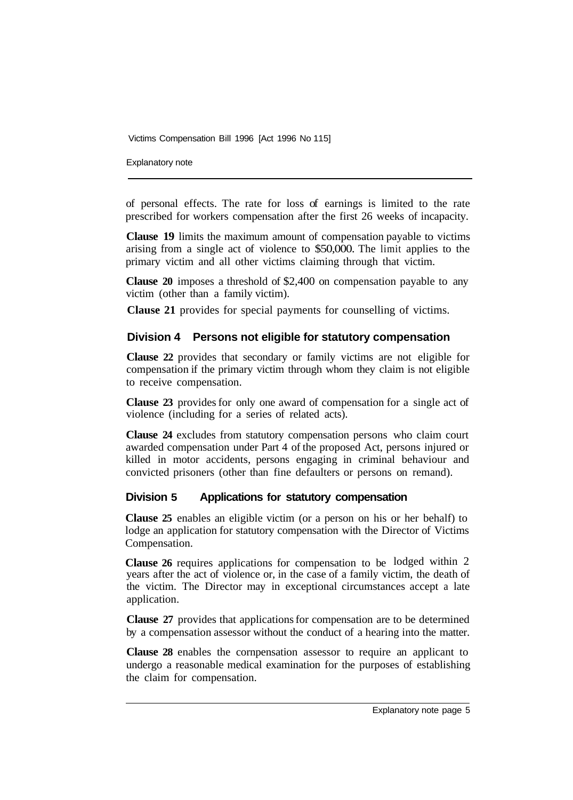Explanatory note

of personal effects. The rate for loss of earnings is limited to the rate prescribed for workers compensation after the first 26 weeks of incapacity.

**Clause 19** limits the maximum amount of compensation payable to victims arising from a single act of violence to \$50,000. The limit applies to the primary victim and all other victims claiming through that victim.

**Clause 20** imposes a threshold of \$2,400 on compensation payable to any victim (other than a family victim).

**Clause 21** provides for special payments for counselling of victims.

### **Division 4 Persons not eligible for statutory compensation**

**Clause 22** provides that secondary or family victims are not eligible for compensation if the primary victim through whom they claim is not eligible to receive compensation.

**Clause 23** provides for only one award of compensation for a single act of violence (including for a series of related acts).

**Clause 24** excludes from statutory compensation persons who claim court awarded compensation under Part 4 of the proposed Act, persons injured or killed in motor accidents, persons engaging in criminal behaviour and convicted prisoners (other than fine defaulters or persons on remand).

#### **Division 5 Applications for statutory compensation**

**Clause 25** enables an eligible victim (or a person on his or her behalf) to lodge an application for statutory compensation with the Director of Victims Compensation.

**Clause 26** requires applications for compensation to be lodged within 2 years after the act of violence or, in the case of a family victim, the death of the victim. The Director may in exceptional circumstances accept a late application.

**Clause 27** provides that applications for compensation are to be determined by a compensation assessor without the conduct of a hearing into the matter.

**Clause 28** enables the cornpensation assessor to require an applicant to undergo a reasonable medical examination for the purposes of establishing the claim for compensation.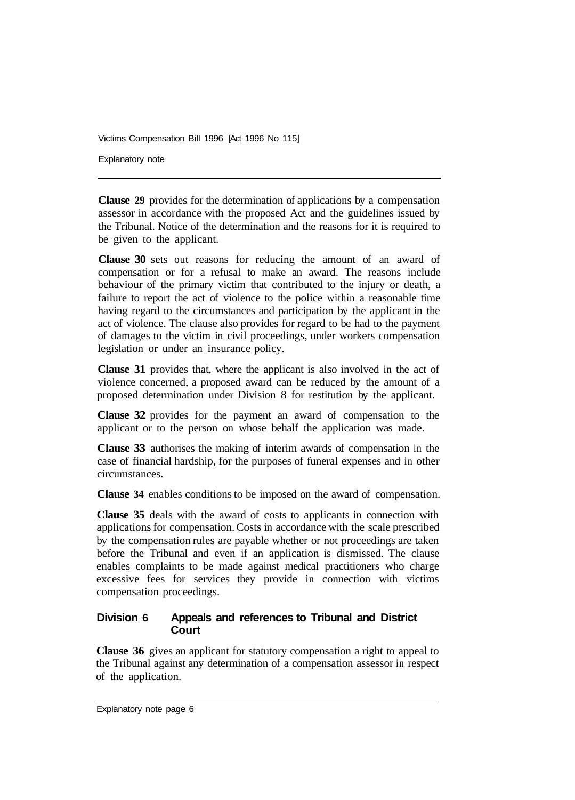Explanatory note

**Clause 29** provides for the determination of applications by a compensation assessor in accordance with the proposed Act and the guidelines issued by the Tribunal. Notice of the determination and the reasons for it is required to be given to the applicant.

**Clause 30** sets out reasons for reducing the amount of an award of compensation or for a refusal to make an award. The reasons include behaviour of the primary victim that contributed to the injury or death, a failure to report the act of violence to the police within a reasonable time having regard to the circumstances and participation by the applicant in the act of violence. The clause also provides for regard to be had to the payment of damages to the victim in civil proceedings, under workers compensation legislation or under an insurance policy.

**Clause 31** provides that, where the applicant is also involved in the act of violence concerned, a proposed award can be reduced by the amount of a proposed determination under Division 8 for restitution by the applicant.

**Clause 32** provides for the payment an award of compensation to the applicant or to the person on whose behalf the application was made.

**Clause 33** authorises the making of interim awards of compensation in the case of financial hardship, for the purposes of funeral expenses and in other circumstances.

**Clause 34** enables conditions to be imposed on the award of compensation.

**Clause 35** deals with the award of costs to applicants in connection with applications for compensation. Costs in accordance with the scale prescribed by the compensation rules are payable whether or not proceedings are taken before the Tribunal and even if an application is dismissed. The clause enables complaints to be made against medical practitioners who charge excessive fees for services they provide in connection with victims compensation proceedings.

#### **Division 6 Appeals and references to Tribunal and District Court**

**Clause 36** gives an applicant for statutory compensation a right to appeal to the Tribunal against any determination of a compensation assessor in respect of the application.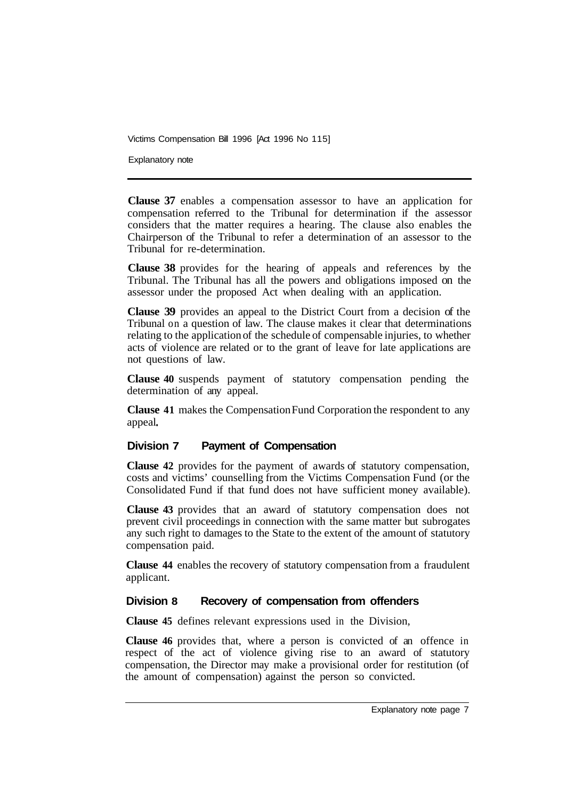Explanatory note

**Clause 37** enables a compensation assessor to have an application for compensation referred to the Tribunal for determination if the assessor considers that the matter requires a hearing. The clause also enables the Chairperson of the Tribunal to refer a determination of an assessor to the Tribunal for re-determination.

**Clause 38** provides for the hearing of appeals and references by the Tribunal. The Tribunal has all the powers and obligations imposed on the assessor under the proposed Act when dealing with an application.

**Clause 39** provides an appeal to the District Court from a decision of the Tribunal on a question of law. The clause makes it clear that determinations relating to the application of the schedule of compensable injuries, to whether acts of violence are related or to the grant of leave for late applications are not questions of law.

**Clause 40** suspends payment of statutory compensation pending the determination of any appeal.

**Clause 41** makes the Compensation Fund Corporation the respondent to any appeal

#### **Division 7 Payment of Compensation**

**Clause 42** provides for the payment of awards of statutory compensation, costs and victims' counselling from the Victims Compensation Fund (or the Consolidated Fund if that fund does not have sufficient money available).

**Clause 43** provides that an award of statutory compensation does not prevent civil proceedings in connection with the same matter but subrogates any such right to damages to the State to the extent of the amount of statutory compensation paid.

**Clause 44** enables the recovery of statutory compensation from a fraudulent applicant.

#### **Division 8 Recovery of compensation from offenders**

**Clause 45** defines relevant expressions used in the Division,

**Clause 46** provides that, where a person is convicted of an offence in respect of the act of violence giving rise to an award of statutory compensation, the Director may make a provisional order for restitution (of the amount of compensation) against the person so convicted.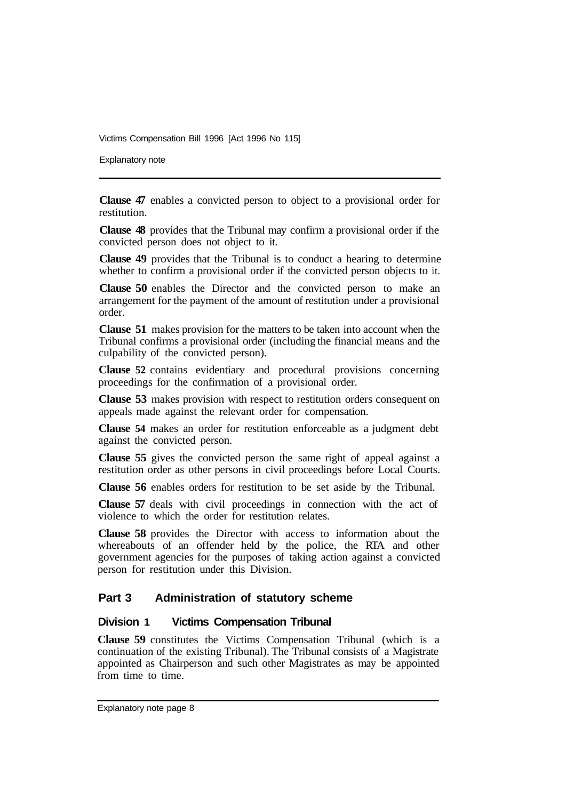Explanatory note

**Clause 47** enables a convicted person to object to a provisional order for restitution.

**Clause 48** provides that the Tribunal may confirm a provisional order if the convicted person does not object to it.

**Clause 49** provides that the Tribunal is to conduct a hearing to determine whether to confirm a provisional order if the convicted person objects to it.

**Clause 50** enables the Director and the convicted person to make an arrangement for the payment of the amount of restitution under a provisional order.

**Clause 51** makes provision for the matters to be taken into account when the Tribunal confirms a provisional order (including the financial means and the culpability of the convicted person).

**Clause 52** contains evidentiary and procedural provisions concerning proceedings for the confirmation of a provisional order.

**Clause 53** makes provision with respect to restitution orders consequent on appeals made against the relevant order for compensation.

**Clause 54** makes an order for restitution enforceable as a judgment debt against the convicted person.

**Clause 55** gives the convicted person the same right of appeal against a restitution order as other persons in civil proceedings before Local Courts.

**Clause 56** enables orders for restitution to be set aside by the Tribunal.

**Clause 57** deals with civil proceedings in connection with the act of violence to which the order for restitution relates.

**Clause 58** provides the Director with access to information about the whereabouts of an offender held by the police, the RTA and other government agencies for the purposes of taking action against a convicted person for restitution under this Division.

#### **Part 3 Administration of statutory scheme**

#### **Division 1 Victims Compensation Tribunal**

**Clause 59** constitutes the Victims Compensation Tribunal (which is a continuation of the existing Tribunal). The Tribunal consists of a Magistrate appointed as Chairperson and such other Magistrates as may be appointed from time to time.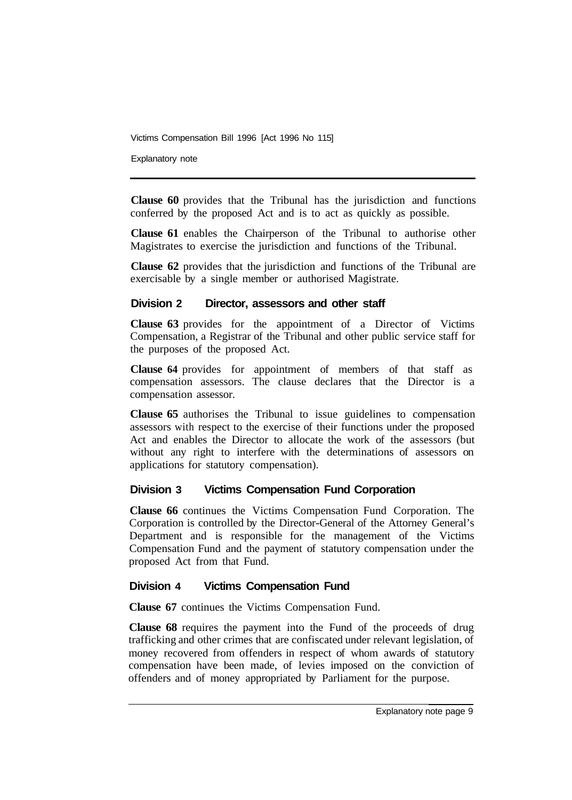Explanatory note

**Clause 60** provides that the Tribunal has the jurisdiction and functions conferred by the proposed Act and is to act as quickly as possible.

**Clause 61** enables the Chairperson of the Tribunal to authorise other Magistrates to exercise the jurisdiction and functions of the Tribunal.

**Clause 62** provides that the jurisdiction and functions of the Tribunal are exercisable by a single member or authorised Magistrate.

#### **Division 2 Director, assessors and other staff**

**Clause 63** provides for the appointment of a Director of Victims Compensation, a Registrar of the Tribunal and other public service staff for the purposes of the proposed Act.

**Clause 64** provides for appointment of members of that staff as compensation assessors. The clause declares that the Director is a compensation assessor.

**Clause 65** authorises the Tribunal to issue guidelines to compensation assessors with respect to the exercise of their functions under the proposed Act and enables the Director to allocate the work of the assessors (but without any right to interfere with the determinations of assessors on applications for statutory compensation).

#### **Division 3 Victims Compensation Fund Corporation**

**Clause 66** continues the Victims Compensation Fund Corporation. The Corporation is controlled by the Director-General of the Attorney General's Department and is responsible for the management of the Victims Compensation Fund and the payment of statutory compensation under the proposed Act from that Fund.

#### **Division 4 Victims Compensation Fund**

**Clause 67** continues the Victims Compensation Fund.

**Clause 68** requires the payment into the Fund of the proceeds of drug trafficking and other crimes that are confiscated under relevant legislation, of money recovered from offenders in respect of whom awards of statutory compensation have been made, of levies imposed on the conviction of offenders and of money appropriated by Parliament for the purpose.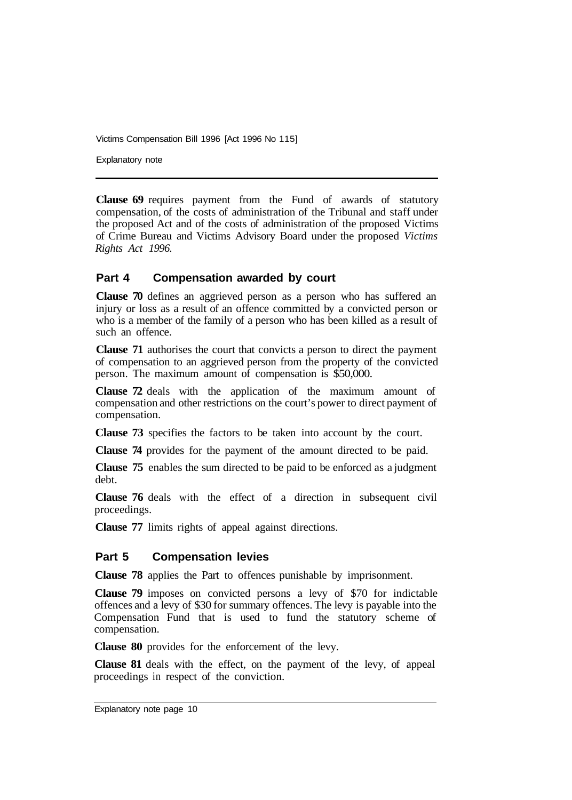Explanatory note

**Clause 69** requires payment from the Fund of awards of statutory compensation, of the costs of administration of the Tribunal and staff under the proposed Act and of the costs of administration of the proposed Victims of Crime Bureau and Victims Advisory Board under the proposed *Victims Rights Act 1996.* 

#### **Part 4 Compensation awarded by court**

**Clause 70** defines an aggrieved person as a person who has suffered an injury or loss as a result of an offence committed by a convicted person or who is a member of the family of a person who has been killed as a result of such an offence.

**Clause 71** authorises the court that convicts a person to direct the payment of compensation to an aggrieved person from the property of the convicted person. The maximum amount of compensation is \$50,000.

**Clause 72** deals with the application of the maximum amount of compensation and other restrictions on the court's power to direct payment of compensation.

**Clause 73** specifies the factors to be taken into account by the court.

**Clause 74** provides for the payment of the amount directed to be paid.

**Clause 75** enables the sum directed to be paid to be enforced as a judgment debt.

**Clause 76** deals with the effect of a direction in subsequent civil proceedings.

**Clause 77** limits rights of appeal against directions.

#### **Part 5 Compensation levies**

**Clause 78** applies the Part to offences punishable by imprisonment.

**Clause 79** imposes on convicted persons a levy of \$70 for indictable offences and a levy of \$30 for summary offences. The levy is payable into the Compensation Fund that is used to fund the statutory scheme of compensation.

**Clause 80** provides for the enforcement of the levy.

**Clause 81** deals with the effect, on the payment of the levy, of appeal proceedings in respect of the conviction.

Explanatory note page 10